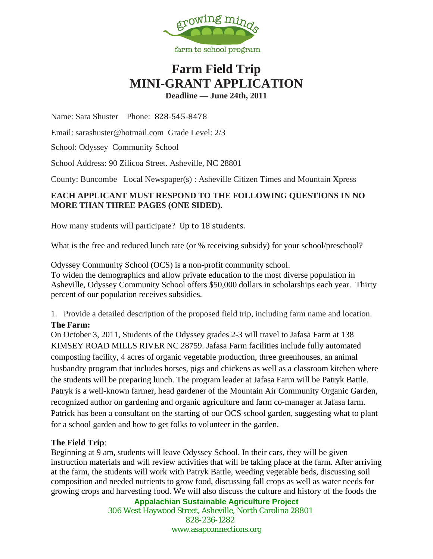

## **Farm Field Trip MINI-GRANT APPLICATION Deadline — June 24th, 2011**

Name: Sara Shuster Phone: 828‐545‐8478

Email: sarashuster@hotmail.com Grade Level: 2/3

School: Odyssey Community School

School Address: 90 Zilicoa Street. Asheville, NC 28801

County: Buncombe Local Newspaper(s) : Asheville Citizen Times and Mountain Xpress

## **EACH APPLICANT MUST RESPOND TO THE FOLLOWING QUESTIONS IN NO MORE THAN THREE PAGES (ONE SIDED).**

How many students will participate? Up to 18 students.

What is the free and reduced lunch rate (or % receiving subsidy) for your school/preschool?

Odyssey Community School (OCS) is a non-profit community school. To widen the demographics and allow private education to the most diverse population in Asheville, Odyssey Community School offers \$50,000 dollars in scholarships each year. Thirty percent of our population receives subsidies.

1. Provide a detailed description of the proposed field trip, including farm name and location. **The Farm:** 

On October 3, 2011, Students of the Odyssey grades 2-3 will travel to Jafasa Farm at 138 KIMSEY ROAD MILLS RIVER NC 28759. Jafasa Farm facilities include fully automated composting facility, 4 acres of organic vegetable production, three greenhouses, an animal husbandry program that includes horses, pigs and chickens as well as a classroom kitchen where the students will be preparing lunch. The program leader at Jafasa Farm will be Patryk Battle. Patryk is a well-known farmer, head gardener of the Mountain Air Community Organic Garden, recognized author on gardening and organic agriculture and farm co-manager at Jafasa farm. Patrick has been a consultant on the starting of our OCS school garden, suggesting what to plant for a school garden and how to get folks to volunteer in the garden.

## **The Field Trip**:

Beginning at 9 am, students will leave Odyssey School. In their cars, they will be given instruction materials and will review activities that will be taking place at the farm. After arriving at the farm, the students will work with Patryk Battle, weeding vegetable beds, discussing soil composition and needed nutrients to grow food, discussing fall crops as well as water needs for growing crops and harvesting food. We will also discuss the culture and history of the foods the

> **Appalachian Sustainable Agriculture Project**  306 West Haywood Street, Asheville, North Carolina 28801 828-236-1282 www.asapconnections.org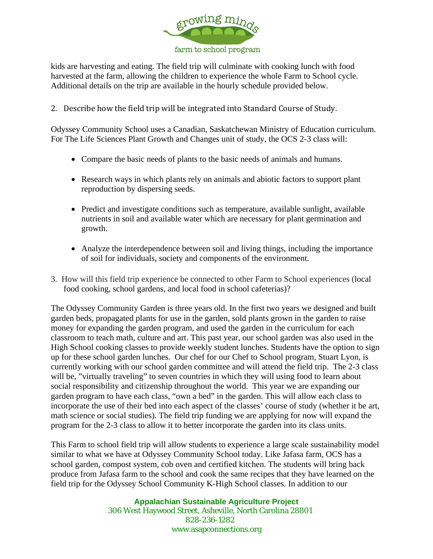

kids are harvesting and eating. The field trip will culminate with cooking lunch with food harvested at the farm, allowing the children to experience the whole Farm to School cycle. Additional details on the trip are available in the hourly schedule provided below.

2. Describe how the field trip will be integrated into Standard Course of Study.

Odyssey Community School uses a Canadian, Saskatchewan Ministry of Education curriculum. For The Life Sciences Plant Growth and Changes unit of study, the OCS 2-3 class will:

- Compare the basic needs of plants to the basic needs of animals and humans.
- Research ways in which plants rely on animals and abiotic factors to support plant reproduction by dispersing seeds.
- Predict and investigate conditions such as temperature, available sunlight, available nutrients in soil and available water which are necessary for plant germination and growth.
- Analyze the interdependence between soil and living things, including the importance of soil for individuals, society and components of the environment.
- 3. How will this field trip experience be connected to other Farm to School experiences (local food cooking, school gardens, and local food in school cafeterias)?

The Odyssey Community Garden is three years old. In the first two years we designed and built garden beds, propagated plants for use in the garden, sold plants grown in the garden to raise money for expanding the garden program, and used the garden in the curriculum for each classroom to teach math, culture and art. This past year, our school garden was also used in the High School cooking classes to provide weekly student lunches. Students have the option to sign up for these school garden lunches. Our chef for our Chef to School program, Stuart Lyon, is currently working with our school garden committee and will attend the field trip. The 2-3 class will be, "virtually traveling" to seven countries in which they will using food to learn about social responsibility and citizenship throughout the world. This year we are expanding our garden program to have each class, "own a bed" in the garden. This will allow each class to incorporate the use of their bed into each aspect of the classes' course of study (whether it be art, math science or social studies). The field trip funding we are applying for now will expand the program for the 2-3 class to allow it to better incorporate the garden into its class units.

This Farm to school field trip will allow students to experience a large scale sustainability model similar to what we have at Odyssey Community School today. Like Jafasa farm, OCS has a school garden, compost system, cob oven and certified kitchen. The students will bring back produce from Jafasa farm to the school and cook the same recipes that they have learned on the field trip for the Odyssey School Community K-High School classes. In addition to our

> **Appalachian Sustainable Agriculture Project**  306 West Haywood Street, Asheville, North Carolina 28801 828-236-1282 www.asapconnections.org